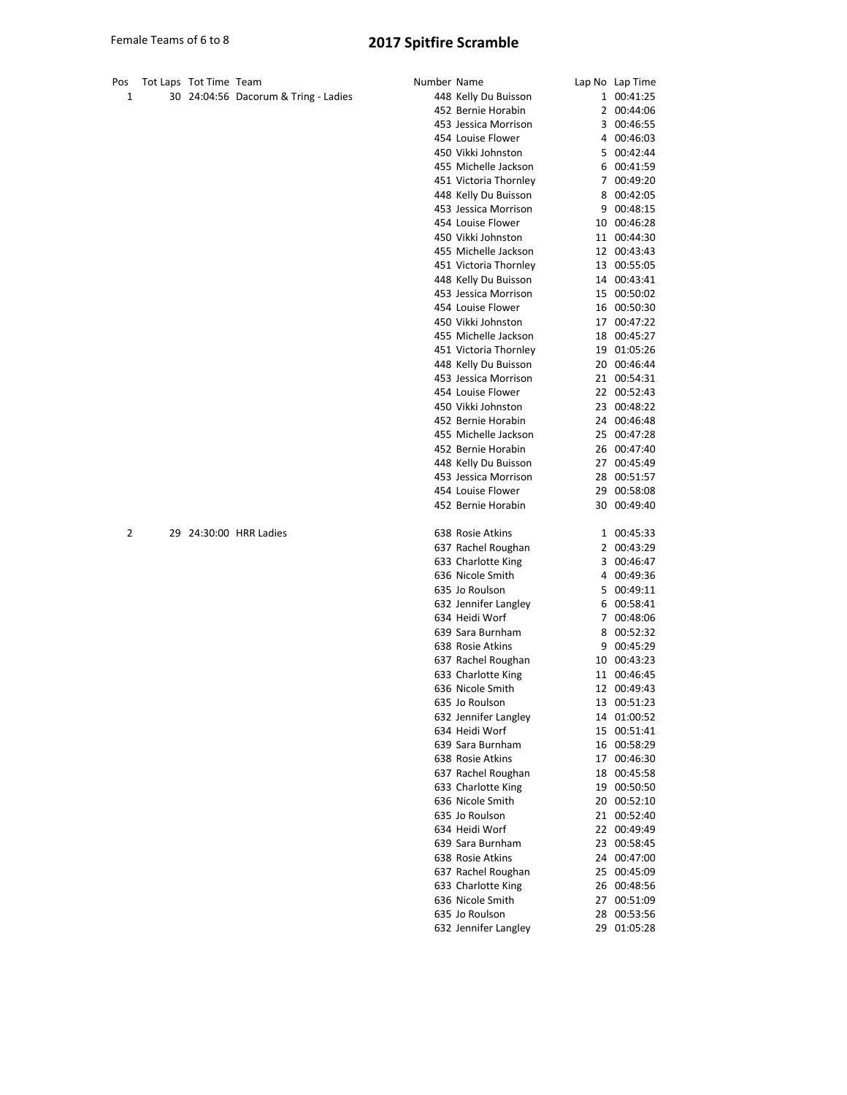| Pos | Tot Laps Tot Time Team |                                      | Number Name |                                              | Lap No Lap Time            |
|-----|------------------------|--------------------------------------|-------------|----------------------------------------------|----------------------------|
| 1   |                        | 30 24:04:56 Dacorum & Tring - Ladies |             | 448 Kelly Du Buisson                         | 1 00:41:25                 |
|     |                        |                                      |             | 452 Bernie Horabin                           | 2 00:44:06                 |
|     |                        |                                      |             | 453 Jessica Morrison                         | 3 00:46:55                 |
|     |                        |                                      |             | 454 Louise Flower                            | 4 00:46:03                 |
|     |                        |                                      |             | 450 Vikki Johnston                           | 5 00:42:44                 |
|     |                        |                                      |             | 455 Michelle Jackson                         | 6 00:41:59                 |
|     |                        |                                      |             | 451 Victoria Thornley                        | 7 00:49:20                 |
|     |                        |                                      |             | 448 Kelly Du Buisson                         | 8 00:42:05                 |
|     |                        |                                      |             | 453 Jessica Morrison                         | 9 00:48:15                 |
|     |                        |                                      |             | 454 Louise Flower                            | 10 00:46:28                |
|     |                        |                                      |             | 450 Vikki Johnston                           | 11 00:44:30                |
|     |                        |                                      |             | 455 Michelle Jackson                         | 12 00:43:43                |
|     |                        |                                      |             | 451 Victoria Thornley                        | 13 00:55:05                |
|     |                        |                                      |             | 448 Kelly Du Buisson                         | 14 00:43:41                |
|     |                        |                                      |             | 453 Jessica Morrison                         | 15 00:50:02                |
|     |                        |                                      |             | 454 Louise Flower                            | 16 00:50:30                |
|     |                        |                                      |             | 450 Vikki Johnston                           | 17 00:47:22                |
|     |                        |                                      |             | 455 Michelle Jackson                         | 18 00:45:27                |
|     |                        |                                      |             | 451 Victoria Thornley                        | 19 01:05:26<br>20 00:46:44 |
|     |                        |                                      |             | 448 Kelly Du Buisson<br>453 Jessica Morrison | 21 00:54:31                |
|     |                        |                                      |             | 454 Louise Flower                            | 22 00:52:43                |
|     |                        |                                      |             | 450 Vikki Johnston                           | 23 00:48:22                |
|     |                        |                                      |             | 452 Bernie Horabin                           | 24 00:46:48                |
|     |                        |                                      |             | 455 Michelle Jackson                         | 25 00:47:28                |
|     |                        |                                      |             | 452 Bernie Horabin                           | 26 00:47:40                |
|     |                        |                                      |             | 448 Kelly Du Buisson                         | 27 00:45:49                |
|     |                        |                                      |             | 453 Jessica Morrison                         | 28 00:51:57                |
|     |                        |                                      |             | 454 Louise Flower                            | 29 00:58:08                |
|     |                        |                                      |             | 452 Bernie Horabin                           | 30 00:49:40                |
| 2   |                        | 29 24:30:00 HRR Ladies               |             | 638 Rosie Atkins                             | 1 00:45:33                 |
|     |                        |                                      |             | 637 Rachel Roughan                           | 2 00:43:29                 |
|     |                        |                                      |             | 633 Charlotte King                           | 3 00:46:47                 |
|     |                        |                                      |             | 636 Nicole Smith                             | 4 00:49:36                 |
|     |                        |                                      |             | 635 Jo Roulson                               | 5 00:49:11                 |
|     |                        |                                      |             | 632 Jennifer Langley                         | 6 00:58:41                 |
|     |                        |                                      |             | 634 Heidi Worf                               | 7 00:48:06                 |
|     |                        |                                      |             | 639 Sara Burnham                             | 8 00:52:32                 |
|     |                        |                                      |             | 638 Rosie Atkins                             | 9 00:45:29                 |
|     |                        |                                      |             | 637 Rachel Roughan                           | 10 00:43:23                |
|     |                        |                                      |             | 633 Charlotte King                           | 11 00:46:45                |
|     |                        |                                      |             | 636 Nicole Smith                             | 12 00:49:43                |
|     |                        |                                      |             | 635 Jo Roulson                               | 13 00:51:23                |
|     |                        |                                      |             | 632 Jennifer Langley                         | 14 01:00:52                |
|     |                        |                                      |             | 634 Heidi Worf                               | 15 00:51:41                |
|     |                        |                                      |             | 639 Sara Burnham                             | 16 00:58:29                |
|     |                        |                                      |             | 638 Rosie Atkins                             | 17 00:46:30                |
|     |                        |                                      |             | 637 Rachel Roughan                           | 18 00:45:58                |
|     |                        |                                      |             | 633 Charlotte King                           | 19 00:50:50                |
|     |                        |                                      |             | 636 Nicole Smith                             | 20 00:52:10                |
|     |                        |                                      |             | 635 Jo Roulson                               | 21 00:52:40                |
|     |                        |                                      |             | 634 Heidi Worf                               | 22 00:49:49                |
|     |                        |                                      |             | 639 Sara Burnham                             | 23 00:58:45                |
|     |                        |                                      |             | 638 Rosie Atkins                             | 24 00:47:00                |
|     |                        |                                      |             | 637 Rachel Roughan<br>633 Charlotte King     | 25 00:45:09                |
|     |                        |                                      |             | 636 Nicole Smith                             | 26 00:48:56<br>27 00:51:09 |
|     |                        |                                      |             | 635 Jo Roulson                               | 28 00:53:56                |
|     |                        |                                      |             | 632 Jennifer Langley                         | 29 01:05:28                |
|     |                        |                                      |             |                                              |                            |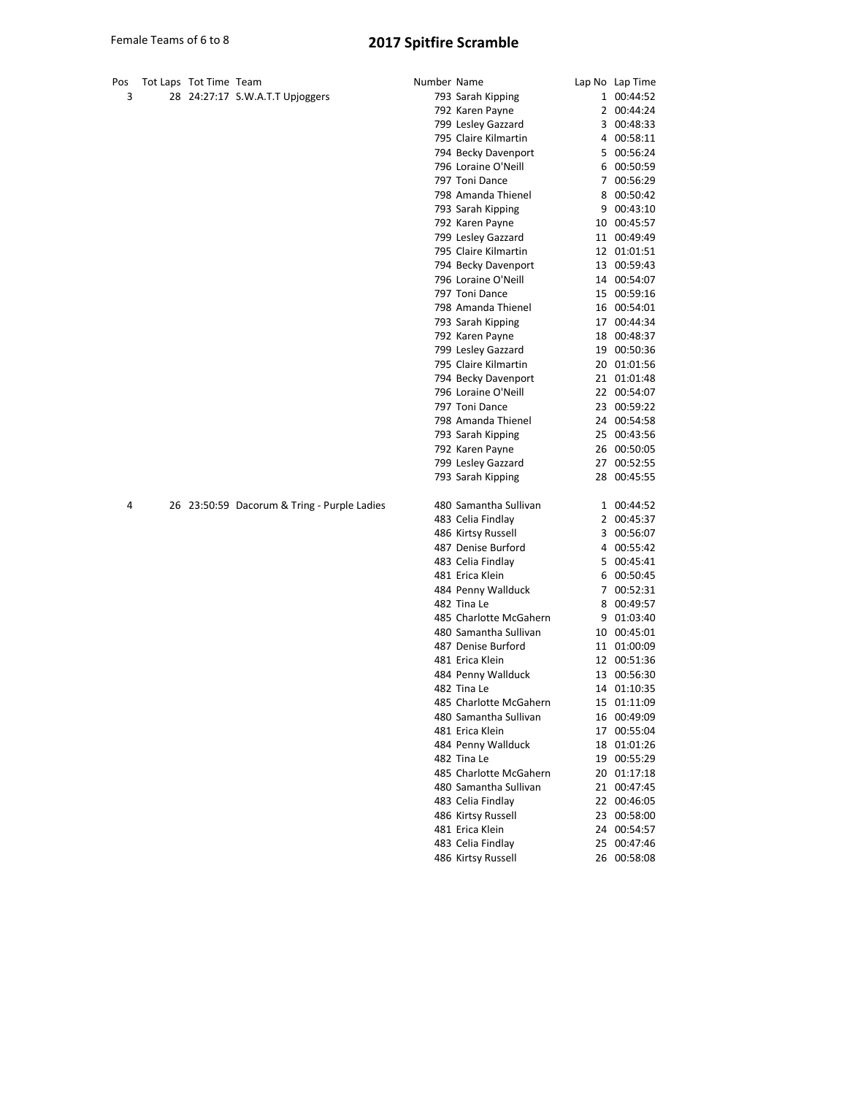| Pos<br>3 | Tot Laps Tot Time Team |                                             | Number Name |                                      | Lap No Lap Time<br>1 00:44:52 |
|----------|------------------------|---------------------------------------------|-------------|--------------------------------------|-------------------------------|
|          |                        | 28 24:27:17 S.W.A.T.T Upjoggers             |             | 793 Sarah Kipping<br>792 Karen Payne | 2 00:44:24                    |
|          |                        |                                             |             | 799 Lesley Gazzard                   | 3 00:48:33                    |
|          |                        |                                             |             | 795 Claire Kilmartin                 | 4 00:58:11                    |
|          |                        |                                             |             | 794 Becky Davenport                  | 5 00:56:24                    |
|          |                        |                                             |             | 796 Loraine O'Neill                  | 6 00:50:59                    |
|          |                        |                                             |             | 797 Toni Dance                       | 7 00:56:29                    |
|          |                        |                                             |             | 798 Amanda Thienel                   | 8 00:50:42                    |
|          |                        |                                             |             | 793 Sarah Kipping                    | 9 00:43:10                    |
|          |                        |                                             |             | 792 Karen Payne                      | 10 00:45:57                   |
|          |                        |                                             |             | 799 Lesley Gazzard                   | 11 00:49:49                   |
|          |                        |                                             |             | 795 Claire Kilmartin                 | 12 01:01:51                   |
|          |                        |                                             |             | 794 Becky Davenport                  | 13 00:59:43                   |
|          |                        |                                             |             | 796 Loraine O'Neill                  | 14 00:54:07                   |
|          |                        |                                             |             | 797 Toni Dance                       | 15 00:59:16                   |
|          |                        |                                             |             | 798 Amanda Thienel                   | 16 00:54:01                   |
|          |                        |                                             |             | 793 Sarah Kipping                    | 17 00:44:34                   |
|          |                        |                                             |             | 792 Karen Payne                      | 18 00:48:37                   |
|          |                        |                                             |             | 799 Lesley Gazzard                   | 19 00:50:36                   |
|          |                        |                                             |             | 795 Claire Kilmartin                 | 20 01:01:56                   |
|          |                        |                                             |             | 794 Becky Davenport                  | 21 01:01:48                   |
|          |                        |                                             |             | 796 Loraine O'Neill                  | 22 00:54:07                   |
|          |                        |                                             |             | 797 Toni Dance                       | 23 00:59:22                   |
|          |                        |                                             |             | 798 Amanda Thienel                   | 24 00:54:58                   |
|          |                        |                                             |             | 793 Sarah Kipping                    | 25 00:43:56                   |
|          |                        |                                             |             | 792 Karen Payne                      | 26 00:50:05                   |
|          |                        |                                             |             | 799 Lesley Gazzard                   | 27 00:52:55                   |
|          |                        |                                             |             | 793 Sarah Kipping                    | 28 00:45:55                   |
|          |                        |                                             |             |                                      |                               |
| 4        |                        | 26 23:50:59 Dacorum & Tring - Purple Ladies |             | 480 Samantha Sullivan                | 1 00:44:52                    |
|          |                        |                                             |             | 483 Celia Findlay                    | 2 00:45:37                    |
|          |                        |                                             |             | 486 Kirtsy Russell                   | 3 00:56:07                    |
|          |                        |                                             |             | 487 Denise Burford                   | 4 00:55:42                    |
|          |                        |                                             |             | 483 Celia Findlay                    | 5 00:45:41                    |
|          |                        |                                             |             | 481 Erica Klein                      | 6 00:50:45                    |
|          |                        |                                             |             | 484 Penny Wallduck                   | 7 00:52:31                    |
|          |                        |                                             |             | 482 Tina Le                          | 8 00:49:57                    |
|          |                        |                                             |             | 485 Charlotte McGahern               | 9 01:03:40                    |
|          |                        |                                             |             | 480 Samantha Sullivan                | 10 00:45:01                   |
|          |                        |                                             |             | 487 Denise Burford                   | 11 01:00:09                   |
|          |                        |                                             |             | 481 Erica Klein                      | 12 00:51:36                   |
|          |                        |                                             |             | 484 Penny Wallduck                   | 13 00:56:30                   |
|          |                        |                                             |             | 482 Tina Le                          | 14 01:10:35                   |
|          |                        |                                             |             | 485 Charlotte McGahern               | 15 01:11:09                   |
|          |                        |                                             |             | 480 Samantha Sullivan                | 16 00:49:09                   |
|          |                        |                                             |             | 481 Erica Klein                      | 17 00:55:04                   |
|          |                        |                                             |             | 484 Penny Wallduck                   | 18 01:01:26                   |
|          |                        |                                             |             | 482 Tina Le                          | 19 00:55:29                   |
|          |                        |                                             |             | 485 Charlotte McGahern               | 20 01:17:18                   |
|          |                        |                                             |             | 480 Samantha Sullivan                | 21 00:47:45                   |
|          |                        |                                             |             | 483 Celia Findlay                    | 22 00:46:05                   |
|          |                        |                                             |             | 486 Kirtsy Russell                   | 23 00:58:00                   |
|          |                        |                                             |             | 481 Erica Klein                      | 24 00:54:57                   |
|          |                        |                                             |             | 483 Celia Findlay                    | 25 00:47:46                   |
|          |                        |                                             |             | 486 Kirtsy Russell                   | 26 00:58:08                   |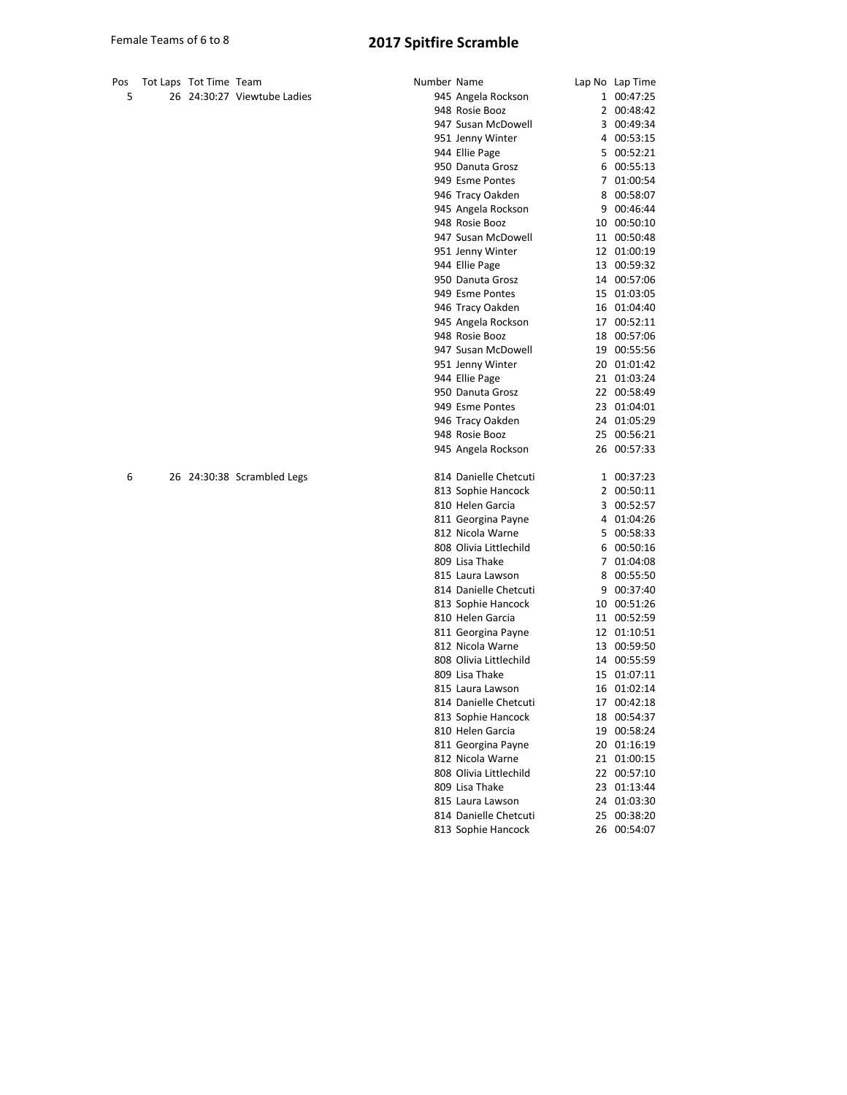|  | Pos Tot Laps Tot Time Team |                          |
|--|----------------------------|--------------------------|
|  |                            | 26 24:30:27 Viewtube Lau |

| Pos | Tot Laps Tot Time Team |                             | Number Name |                        | Lap No Lap Time |
|-----|------------------------|-----------------------------|-------------|------------------------|-----------------|
| 5   |                        | 26 24:30:27 Viewtube Ladies |             | 945 Angela Rockson     | 1 00:47:25      |
|     |                        |                             |             | 948 Rosie Booz         | 2 00:48:42      |
|     |                        |                             |             | 947 Susan McDowell     | 3 00:49:34      |
|     |                        |                             |             | 951 Jenny Winter       | 4 00:53:15      |
|     |                        |                             |             | 944 Ellie Page         | 5 00:52:21      |
|     |                        |                             |             | 950 Danuta Grosz       | 6 00:55:13      |
|     |                        |                             |             | 949 Esme Pontes        | 7 01:00:54      |
|     |                        |                             |             | 946 Tracy Oakden       | 8 00:58:07      |
|     |                        |                             |             | 945 Angela Rockson     | 9 00:46:44      |
|     |                        |                             |             | 948 Rosie Booz         | 10 00:50:10     |
|     |                        |                             |             | 947 Susan McDowell     | 11 00:50:48     |
|     |                        |                             |             | 951 Jenny Winter       | 12 01:00:19     |
|     |                        |                             |             | 944 Ellie Page         | 13 00:59:32     |
|     |                        |                             |             | 950 Danuta Grosz       | 14 00:57:06     |
|     |                        |                             |             | 949 Esme Pontes        | 15 01:03:05     |
|     |                        |                             |             | 946 Tracy Oakden       | 16 01:04:40     |
|     |                        |                             |             | 945 Angela Rockson     | 17 00:52:11     |
|     |                        |                             |             | 948 Rosie Booz         | 18 00:57:06     |
|     |                        |                             |             | 947 Susan McDowell     | 19 00:55:56     |
|     |                        |                             |             | 951 Jenny Winter       | 20 01:01:42     |
|     |                        |                             |             | 944 Ellie Page         | 21 01:03:24     |
|     |                        |                             |             | 950 Danuta Grosz       | 22 00:58:49     |
|     |                        |                             |             | 949 Esme Pontes        | 23 01:04:01     |
|     |                        |                             |             | 946 Tracy Oakden       | 24 01:05:29     |
|     |                        |                             |             | 948 Rosie Booz         | 25 00:56:21     |
|     |                        |                             |             | 945 Angela Rockson     | 26 00:57:33     |
| 6   |                        | 26 24:30:38 Scrambled Legs  |             | 814 Danielle Chetcuti  | 1 00:37:23      |
|     |                        |                             |             | 813 Sophie Hancock     | 2 00:50:11      |
|     |                        |                             |             | 810 Helen Garcia       | 3 00:52:57      |
|     |                        |                             |             | 811 Georgina Payne     | 4 01:04:26      |
|     |                        |                             |             | 812 Nicola Warne       | 5 00:58:33      |
|     |                        |                             |             | 808 Olivia Littlechild | 6 00:50:16      |
|     |                        |                             |             | 809 Lisa Thake         | 7 01:04:08      |
|     |                        |                             |             | 815 Laura Lawson       | 8 00:55:50      |
|     |                        |                             |             | 814 Danielle Chetcuti  | 9 00:37:40      |
|     |                        |                             |             | 813 Sophie Hancock     | 10 00:51:26     |
|     |                        |                             |             | 810 Helen Garcia       | 11 00:52:59     |
|     |                        |                             |             | 811 Georgina Payne     | 12 01:10:51     |
|     |                        |                             |             | 812 Nicola Warne       | 13 00:59:50     |
|     |                        |                             |             | 808 Olivia Littlechild | 14 00:55:59     |
|     |                        |                             |             | 809 Lisa Thake         | 15 01:07:11     |
|     |                        |                             |             | 815 Laura Lawson       | 16 01:02:14     |
|     |                        |                             |             | 814 Danielle Chetcuti  | 17 00:42:18     |
|     |                        |                             |             | 813 Sophie Hancock     | 18 00:54:37     |
|     |                        |                             |             | 810 Helen Garcia       | 19 00:58:24     |
|     |                        |                             |             | 811 Georgina Payne     | 20 01:16:19     |
|     |                        |                             |             | 812 Nicola Warne       | 21 01:00:15     |
|     |                        |                             |             | 808 Olivia Littlechild | 22 00:57:10     |
|     |                        |                             |             | 809 Lisa Thake         | 23 01:13:44     |
|     |                        |                             |             | 815 Laura Lawson       | 24 01:03:30     |
|     |                        |                             |             | 814 Danielle Chetcuti  | 25 00:38:20     |
|     |                        |                             |             | 813 Sophie Hancock     | 26 00:54:07     |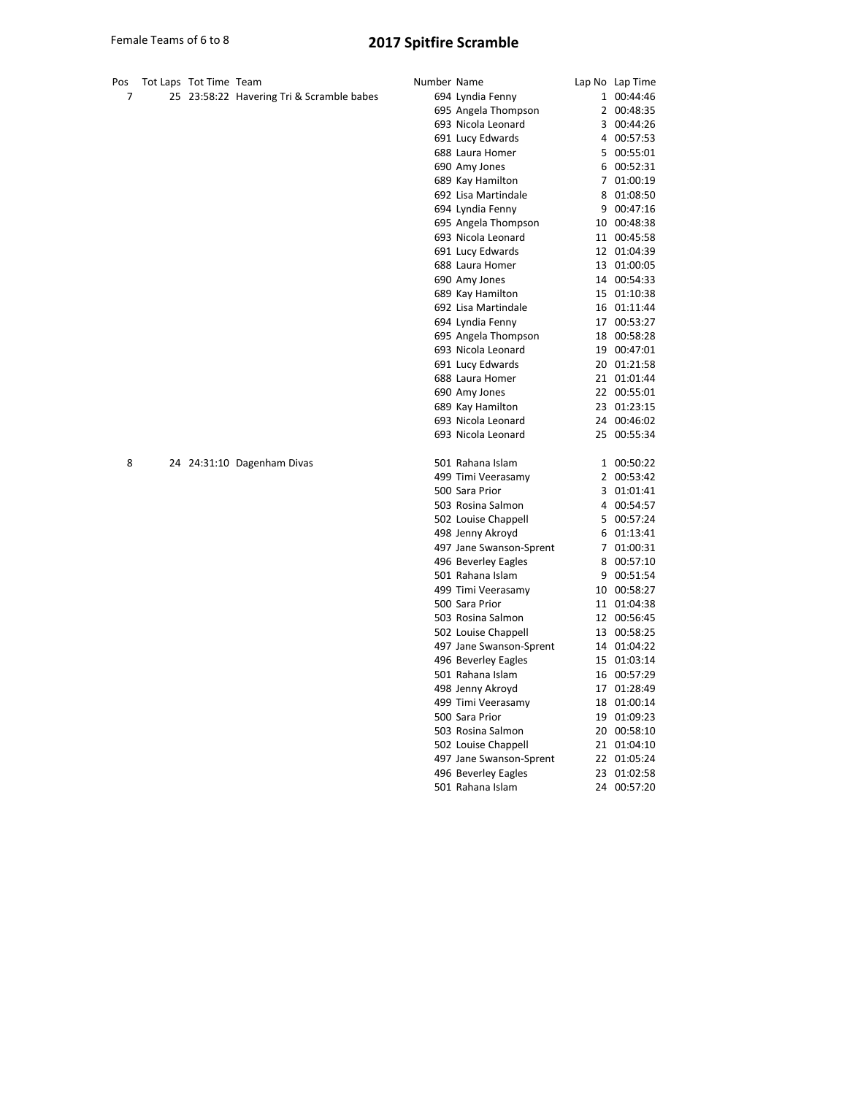| Pos<br>7 | Tot Laps Tot Time Team |                                           | Number Name |                         | Lap No Lap Time |
|----------|------------------------|-------------------------------------------|-------------|-------------------------|-----------------|
|          |                        | 25 23:58:22 Havering Tri & Scramble babes |             | 694 Lyndia Fenny        | 1 00:44:46      |
|          |                        |                                           |             | 695 Angela Thompson     | 2 00:48:35      |
|          |                        |                                           |             | 693 Nicola Leonard      | 3 00:44:26      |
|          |                        |                                           |             | 691 Lucy Edwards        | 4 00:57:53      |
|          |                        |                                           |             | 688 Laura Homer         | 5 00:55:01      |
|          |                        |                                           |             | 690 Amy Jones           | 6 00:52:31      |
|          |                        |                                           |             | 689 Kay Hamilton        | 7 01:00:19      |
|          |                        |                                           |             | 692 Lisa Martindale     | 8 01:08:50      |
|          |                        |                                           |             | 694 Lyndia Fenny        | 9 00:47:16      |
|          |                        |                                           |             | 695 Angela Thompson     | 10 00:48:38     |
|          |                        |                                           |             | 693 Nicola Leonard      | 11 00:45:58     |
|          |                        |                                           |             | 691 Lucy Edwards        | 12 01:04:39     |
|          |                        |                                           |             | 688 Laura Homer         | 13 01:00:05     |
|          |                        |                                           |             | 690 Amy Jones           | 14 00:54:33     |
|          |                        |                                           |             | 689 Kay Hamilton        | 15 01:10:38     |
|          |                        |                                           |             | 692 Lisa Martindale     | 16 01:11:44     |
|          |                        |                                           |             | 694 Lyndia Fenny        | 17 00:53:27     |
|          |                        |                                           |             | 695 Angela Thompson     | 18 00:58:28     |
|          |                        |                                           |             | 693 Nicola Leonard      | 19 00:47:01     |
|          |                        |                                           |             | 691 Lucy Edwards        | 20 01:21:58     |
|          |                        |                                           |             | 688 Laura Homer         | 21 01:01:44     |
|          |                        |                                           |             | 690 Amy Jones           | 22 00:55:01     |
|          |                        |                                           |             | 689 Kay Hamilton        | 23 01:23:15     |
|          |                        |                                           |             | 693 Nicola Leonard      | 24 00:46:02     |
|          |                        |                                           |             | 693 Nicola Leonard      | 25 00:55:34     |
| 8        |                        | 24 24:31:10 Dagenham Divas                |             | 501 Rahana Islam        | 1 00:50:22      |
|          |                        |                                           |             | 499 Timi Veerasamy      | 2 00:53:42      |
|          |                        |                                           |             | 500 Sara Prior          | 3 01:01:41      |
|          |                        |                                           |             | 503 Rosina Salmon       | 4 00:54:57      |
|          |                        |                                           |             | 502 Louise Chappell     | 5 00:57:24      |
|          |                        |                                           |             | 498 Jenny Akroyd        | 6 01:13:41      |
|          |                        |                                           |             | 497 Jane Swanson-Sprent | 7 01:00:31      |
|          |                        |                                           |             | 496 Beverley Eagles     | 8 00:57:10      |
|          |                        |                                           |             | 501 Rahana Islam        | 9 00:51:54      |
|          |                        |                                           |             | 499 Timi Veerasamy      | 10 00:58:27     |
|          |                        |                                           |             | 500 Sara Prior          | 11 01:04:38     |
|          |                        |                                           |             | 503 Rosina Salmon       | 12 00:56:45     |
|          |                        |                                           |             | 502 Louise Chappell     | 13 00:58:25     |
|          |                        |                                           |             | 497 Jane Swanson-Sprent | 14 01:04:22     |
|          |                        |                                           |             | 496 Beverley Eagles     | 15 01:03:14     |
|          |                        |                                           |             | 501 Rahana Islam        | 16 00:57:29     |
|          |                        |                                           |             | 498 Jenny Akroyd        | 17 01:28:49     |
|          |                        |                                           |             | 499 Timi Veerasamy      | 18 01:00:14     |
|          |                        |                                           |             | 500 Sara Prior          | 19 01:09:23     |
|          |                        |                                           |             | 503 Rosina Salmon       | 20 00:58:10     |
|          |                        |                                           |             | 502 Louise Chappell     | 21 01:04:10     |
|          |                        |                                           |             | 497 Jane Swanson-Sprent | 22 01:05:24     |
|          |                        |                                           |             | 496 Beverley Eagles     | 23 01:02:58     |
|          |                        |                                           |             | 501 Rahana Islam        | 24 00:57:20     |
|          |                        |                                           |             |                         |                 |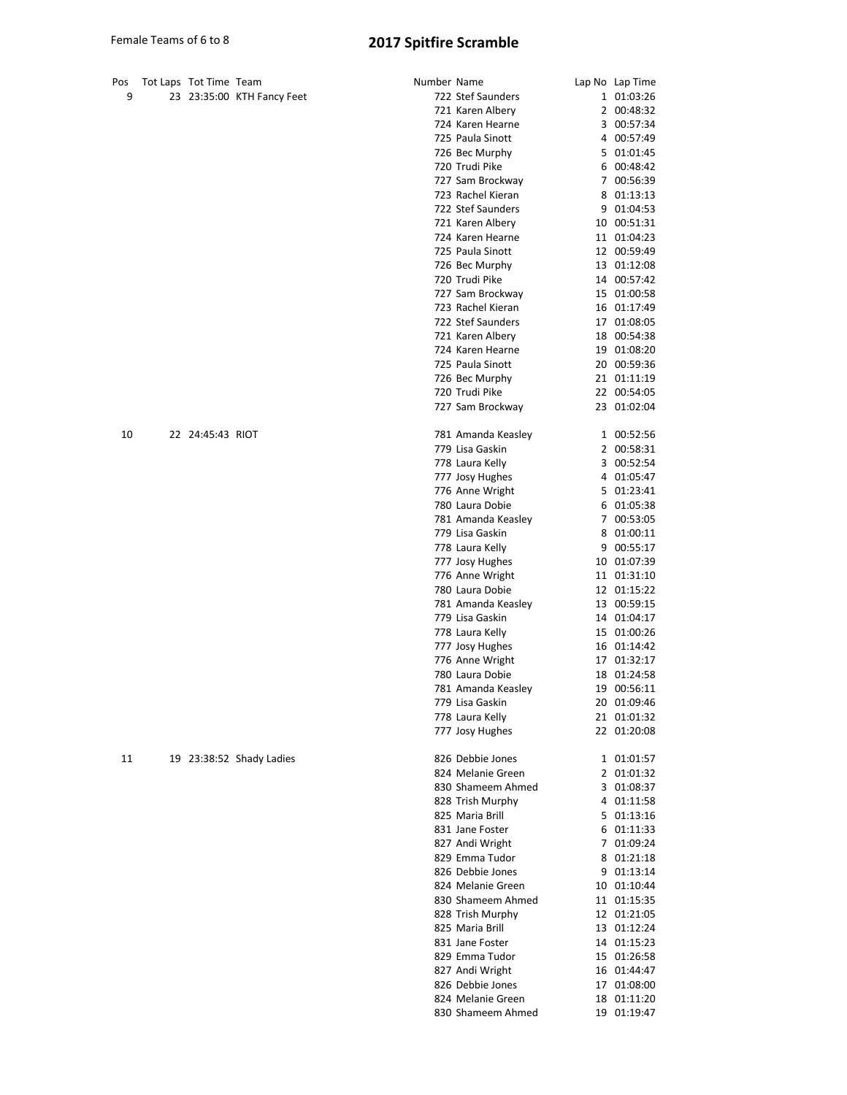| Pos | Tot Laps Tot Time Team |                            | Number Name |                    | Lap No Lap Time |
|-----|------------------------|----------------------------|-------------|--------------------|-----------------|
| 9   |                        | 23 23:35:00 KTH Fancy Feet |             | 722 Stef Saunders  | 1 01:03:26      |
|     |                        |                            |             | 721 Karen Albery   | 2 00:48:32      |
|     |                        |                            |             | 724 Karen Hearne   | 3 00:57:34      |
|     |                        |                            |             | 725 Paula Sinott   | 4 00:57:49      |
|     |                        |                            |             | 726 Bec Murphy     | 5 01:01:45      |
|     |                        |                            |             | 720 Trudi Pike     | 6 00:48:42      |
|     |                        |                            |             | 727 Sam Brockway   | 7 00:56:39      |
|     |                        |                            |             | 723 Rachel Kieran  | 8 01:13:13      |
|     |                        |                            |             | 722 Stef Saunders  |                 |
|     |                        |                            |             |                    | 9 01:04:53      |
|     |                        |                            |             | 721 Karen Albery   | 10 00:51:31     |
|     |                        |                            |             | 724 Karen Hearne   | 11 01:04:23     |
|     |                        |                            |             | 725 Paula Sinott   | 12 00:59:49     |
|     |                        |                            |             | 726 Bec Murphy     | 13 01:12:08     |
|     |                        |                            |             | 720 Trudi Pike     | 14 00:57:42     |
|     |                        |                            |             | 727 Sam Brockway   | 15 01:00:58     |
|     |                        |                            |             | 723 Rachel Kieran  | 16 01:17:49     |
|     |                        |                            |             | 722 Stef Saunders  | 17 01:08:05     |
|     |                        |                            |             | 721 Karen Albery   | 18 00:54:38     |
|     |                        |                            |             | 724 Karen Hearne   | 19 01:08:20     |
|     |                        |                            |             | 725 Paula Sinott   | 20 00:59:36     |
|     |                        |                            |             | 726 Bec Murphy     | 21 01:11:19     |
|     |                        |                            |             | 720 Trudi Pike     | 22 00:54:05     |
|     |                        |                            |             | 727 Sam Brockway   | 23 01:02:04     |
|     |                        |                            |             |                    |                 |
| 10  | 22 24:45:43 RIOT       |                            |             | 781 Amanda Keasley | 1 00:52:56      |
|     |                        |                            |             | 779 Lisa Gaskin    | 2 00:58:31      |
|     |                        |                            |             | 778 Laura Kelly    | 3 00:52:54      |
|     |                        |                            |             | 777 Josy Hughes    | 4 01:05:47      |
|     |                        |                            |             | 776 Anne Wright    | 5 01:23:41      |
|     |                        |                            |             | 780 Laura Dobie    | 6 01:05:38      |
|     |                        |                            |             | 781 Amanda Keasley | 7 00:53:05      |
|     |                        |                            |             | 779 Lisa Gaskin    | 8 01:00:11      |
|     |                        |                            |             | 778 Laura Kelly    | 9 00:55:17      |
|     |                        |                            |             |                    | 10 01:07:39     |
|     |                        |                            |             | 777 Josy Hughes    |                 |
|     |                        |                            |             | 776 Anne Wright    | 11 01:31:10     |
|     |                        |                            |             | 780 Laura Dobie    | 12 01:15:22     |
|     |                        |                            |             | 781 Amanda Keasley | 13 00:59:15     |
|     |                        |                            |             | 779 Lisa Gaskin    | 14 01:04:17     |
|     |                        |                            |             | 778 Laura Kelly    | 15 01:00:26     |
|     |                        |                            |             | 777 Josy Hughes    | 16 01:14:42     |
|     |                        |                            |             | 776 Anne Wright    | 17 01:32:17     |
|     |                        |                            |             | 780 Laura Dobie    | 18 01:24:58     |
|     |                        |                            |             | 781 Amanda Keasley | 19 00:56:11     |
|     |                        |                            |             | 779 Lisa Gaskin    | 20 01:09:46     |
|     |                        |                            |             | 778 Laura Kelly    | 21 01:01:32     |
|     |                        |                            |             | 777 Josy Hughes    | 22 01:20:08     |
|     |                        |                            |             |                    |                 |
| 11  |                        | 19 23:38:52 Shady Ladies   |             | 826 Debbie Jones   | 1 01:01:57      |
|     |                        |                            |             | 824 Melanie Green  | 2 01:01:32      |
|     |                        |                            |             | 830 Shameem Ahmed  | 3 01:08:37      |
|     |                        |                            |             | 828 Trish Murphy   | 4 01:11:58      |
|     |                        |                            |             | 825 Maria Brill    | 5 01:13:16      |
|     |                        |                            |             | 831 Jane Foster    | 6 01:11:33      |
|     |                        |                            |             | 827 Andi Wright    | 7 01:09:24      |
|     |                        |                            |             | 829 Emma Tudor     | 8 01:21:18      |
|     |                        |                            |             | 826 Debbie Jones   | 9 01:13:14      |
|     |                        |                            |             | 824 Melanie Green  | 10 01:10:44     |
|     |                        |                            |             | 830 Shameem Ahmed  | 11 01:15:35     |
|     |                        |                            |             | 828 Trish Murphy   | 12 01:21:05     |
|     |                        |                            |             | 825 Maria Brill    | 13 01:12:24     |
|     |                        |                            |             |                    |                 |
|     |                        |                            |             | 831 Jane Foster    | 14 01:15:23     |
|     |                        |                            |             | 829 Emma Tudor     | 15 01:26:58     |
|     |                        |                            |             | 827 Andi Wright    | 16 01:44:47     |
|     |                        |                            |             | 826 Debbie Jones   | 17 01:08:00     |
|     |                        |                            |             | 824 Melanie Green  | 18 01:11:20     |
|     |                        |                            |             | 830 Shameem Ahmed  | 19 01:19:47     |